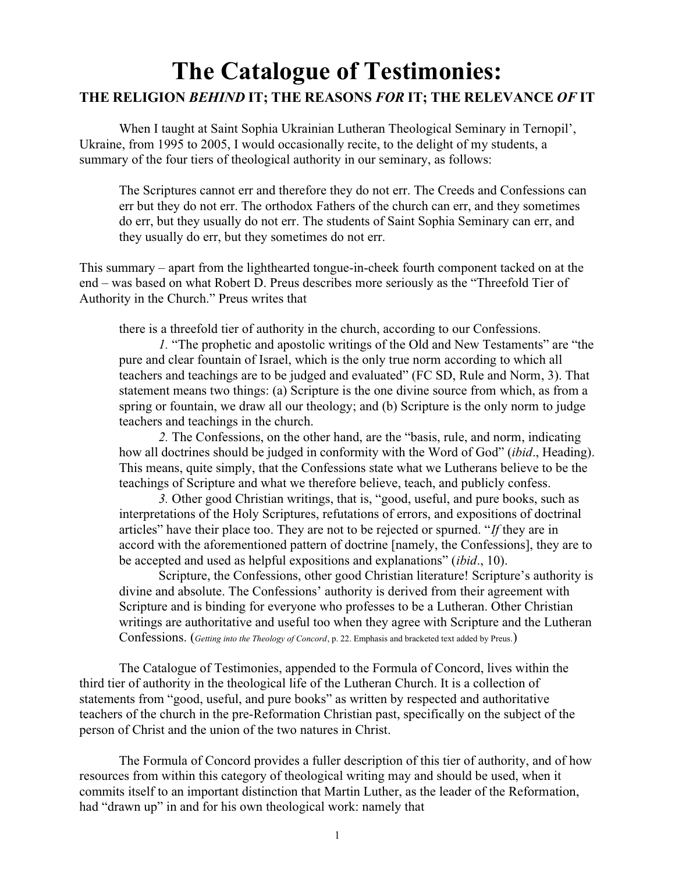## **The Catalogue of Testimonies: THE RELIGION** *BEHIND* **IT; THE REASONS** *FOR* **IT; THE RELEVANCE** *OF* **IT**

When I taught at Saint Sophia Ukrainian Lutheran Theological Seminary in Ternopil', Ukraine, from 1995 to 2005, I would occasionally recite, to the delight of my students, a summary of the four tiers of theological authority in our seminary, as follows:

The Scriptures cannot err and therefore they do not err. The Creeds and Confessions can err but they do not err. The orthodox Fathers of the church can err, and they sometimes do err, but they usually do not err. The students of Saint Sophia Seminary can err, and they usually do err, but they sometimes do not err.

This summary – apart from the lighthearted tongue-in-cheek fourth component tacked on at the end – was based on what Robert D. Preus describes more seriously as the "Threefold Tier of Authority in the Church." Preus writes that

there is a threefold tier of authority in the church, according to our Confessions.

*1.* "The prophetic and apostolic writings of the Old and New Testaments" are "the pure and clear fountain of Israel, which is the only true norm according to which all teachers and teachings are to be judged and evaluated" (FC SD, Rule and Norm, 3). That statement means two things: (a) Scripture is the one divine source from which, as from a spring or fountain, we draw all our theology; and (b) Scripture is the only norm to judge teachers and teachings in the church.

*2.* The Confessions, on the other hand, are the "basis, rule, and norm, indicating how all doctrines should be judged in conformity with the Word of God" (*ibid*., Heading). This means, quite simply, that the Confessions state what we Lutherans believe to be the teachings of Scripture and what we therefore believe, teach, and publicly confess.

*3.* Other good Christian writings, that is, "good, useful, and pure books, such as interpretations of the Holy Scriptures, refutations of errors, and expositions of doctrinal articles" have their place too. They are not to be rejected or spurned. "*If* they are in accord with the aforementioned pattern of doctrine [namely, the Confessions], they are to be accepted and used as helpful expositions and explanations" (*ibid*., 10).

Scripture, the Confessions, other good Christian literature! Scripture's authority is divine and absolute. The Confessions' authority is derived from their agreement with Scripture and is binding for everyone who professes to be a Lutheran. Other Christian writings are authoritative and useful too when they agree with Scripture and the Lutheran Confessions. (*Getting into the Theology of Concord*, p. 22. Emphasis and bracketed text added by Preus.)

The Catalogue of Testimonies, appended to the Formula of Concord, lives within the third tier of authority in the theological life of the Lutheran Church. It is a collection of statements from "good, useful, and pure books" as written by respected and authoritative teachers of the church in the pre-Reformation Christian past, specifically on the subject of the person of Christ and the union of the two natures in Christ.

The Formula of Concord provides a fuller description of this tier of authority, and of how resources from within this category of theological writing may and should be used, when it commits itself to an important distinction that Martin Luther, as the leader of the Reformation, had "drawn up" in and for his own theological work: namely that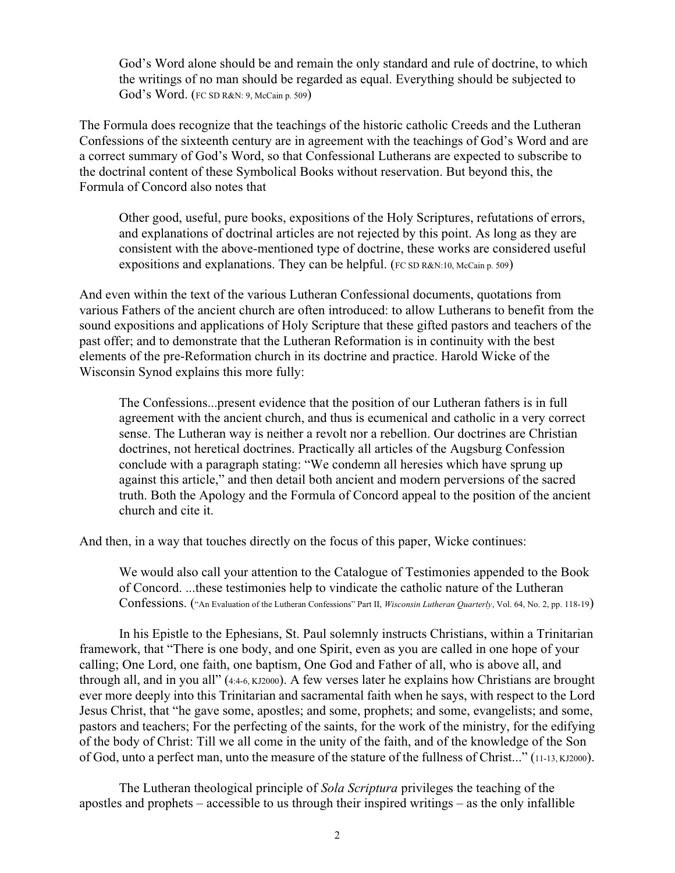God's Word alone should be and remain the only standard and rule of doctrine, to which the writings of no man should be regarded as equal. Everything should be subjected to God's Word. (FC SD R&N: 9, McCain p. 509)

The Formula does recognize that the teachings of the historic catholic Creeds and the Lutheran Confessions of the sixteenth century are in agreement with the teachings of God's Word and are a correct summary of God's Word, so that Confessional Lutherans are expected to subscribe to the doctrinal content of these Symbolical Books without reservation. But beyond this, the Formula of Concord also notes that

Other good, useful, pure books, expositions of the Holy Scriptures, refutations of errors, and explanations of doctrinal articles are not rejected by this point. As long as they are consistent with the above-mentioned type of doctrine, these works are considered useful expositions and explanations. They can be helpful. (FC SD R&N:10, McCain p. 509)

And even within the text of the various Lutheran Confessional documents, quotations from various Fathers of the ancient church are often introduced: to allow Lutherans to benefit from the sound expositions and applications of Holy Scripture that these gifted pastors and teachers of the past offer; and to demonstrate that the Lutheran Reformation is in continuity with the best elements of the pre-Reformation church in its doctrine and practice. Harold Wicke of the Wisconsin Synod explains this more fully:

The Confessions...present evidence that the position of our Lutheran fathers is in full agreement with the ancient church, and thus is ecumenical and catholic in a very correct sense. The Lutheran way is neither a revolt nor a rebellion. Our doctrines are Christian doctrines, not heretical doctrines. Practically all articles of the Augsburg Confession conclude with a paragraph stating: "We condemn all heresies which have sprung up against this article," and then detail both ancient and modern perversions of the sacred truth. Both the Apology and the Formula of Concord appeal to the position of the ancient church and cite it.

And then, in a way that touches directly on the focus of this paper, Wicke continues:

We would also call your attention to the Catalogue of Testimonies appended to the Book of Concord. ...these testimonies help to vindicate the catholic nature of the Lutheran Confessions. ("An Evaluation of the Lutheran Confessions" Part II, *Wisconsin Lutheran Quarterly*, Vol. 64, No. 2, pp. 118-19)

In his Epistle to the Ephesians, St. Paul solemnly instructs Christians, within a Trinitarian framework, that "There is one body, and one Spirit, even as you are called in one hope of your calling; One Lord, one faith, one baptism, One God and Father of all, who is above all, and through all, and in you all" (4:4-6, KJ2000). A few verses later he explains how Christians are brought ever more deeply into this Trinitarian and sacramental faith when he says, with respect to the Lord Jesus Christ, that "he gave some, apostles; and some, prophets; and some, evangelists; and some, pastors and teachers; For the perfecting of the saints, for the work of the ministry, for the edifying of the body of Christ: Till we all come in the unity of the faith, and of the knowledge of the Son of God, unto a perfect man, unto the measure of the stature of the fullness of Christ..." (11-13, KJ2000).

The Lutheran theological principle of *Sola Scriptura* privileges the teaching of the apostles and prophets – accessible to us through their inspired writings – as the only infallible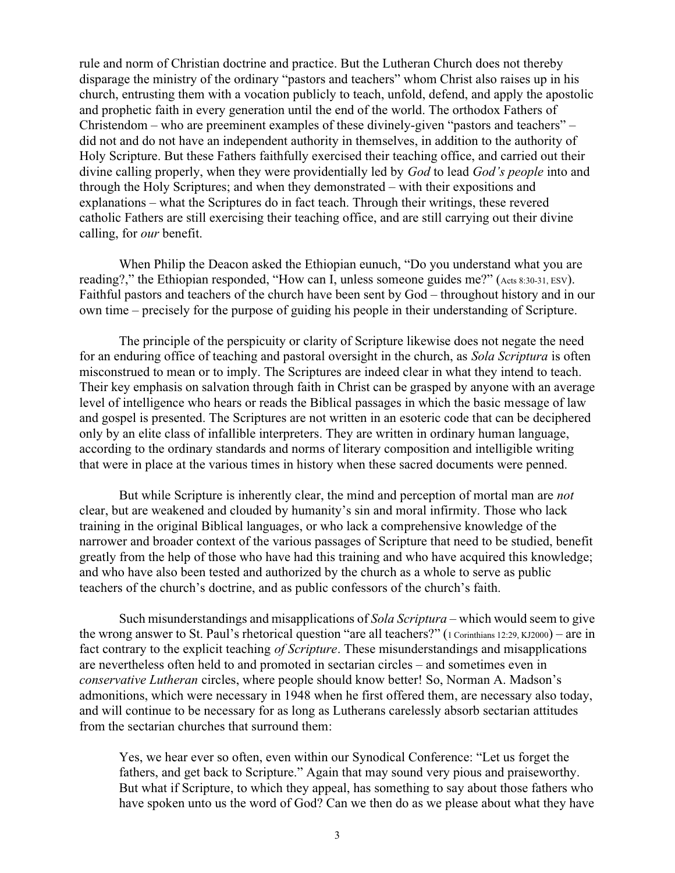rule and norm of Christian doctrine and practice. But the Lutheran Church does not thereby disparage the ministry of the ordinary "pastors and teachers" whom Christ also raises up in his church, entrusting them with a vocation publicly to teach, unfold, defend, and apply the apostolic and prophetic faith in every generation until the end of the world. The orthodox Fathers of Christendom – who are preeminent examples of these divinely-given "pastors and teachers" – did not and do not have an independent authority in themselves, in addition to the authority of Holy Scripture. But these Fathers faithfully exercised their teaching office, and carried out their divine calling properly, when they were providentially led by *God* to lead *God's people* into and through the Holy Scriptures; and when they demonstrated – with their expositions and explanations – what the Scriptures do in fact teach. Through their writings, these revered catholic Fathers are still exercising their teaching office, and are still carrying out their divine calling, for *our* benefit.

When Philip the Deacon asked the Ethiopian eunuch, "Do you understand what you are reading?," the Ethiopian responded, "How can I, unless someone guides me?" (Acts 8:30-31, ESV). Faithful pastors and teachers of the church have been sent by God – throughout history and in our own time – precisely for the purpose of guiding his people in their understanding of Scripture.

The principle of the perspicuity or clarity of Scripture likewise does not negate the need for an enduring office of teaching and pastoral oversight in the church, as *Sola Scriptura* is often misconstrued to mean or to imply. The Scriptures are indeed clear in what they intend to teach. Their key emphasis on salvation through faith in Christ can be grasped by anyone with an average level of intelligence who hears or reads the Biblical passages in which the basic message of law and gospel is presented. The Scriptures are not written in an esoteric code that can be deciphered only by an elite class of infallible interpreters. They are written in ordinary human language, according to the ordinary standards and norms of literary composition and intelligible writing that were in place at the various times in history when these sacred documents were penned.

But while Scripture is inherently clear, the mind and perception of mortal man are *not* clear, but are weakened and clouded by humanity's sin and moral infirmity. Those who lack training in the original Biblical languages, or who lack a comprehensive knowledge of the narrower and broader context of the various passages of Scripture that need to be studied, benefit greatly from the help of those who have had this training and who have acquired this knowledge; and who have also been tested and authorized by the church as a whole to serve as public teachers of the church's doctrine, and as public confessors of the church's faith.

Such misunderstandings and misapplications of *Sola Scriptura* – which would seem to give the wrong answer to St. Paul's rhetorical question "are all teachers?" (1 Corinthians 12:29, KJ2000) – are in fact contrary to the explicit teaching *of Scripture*. These misunderstandings and misapplications are nevertheless often held to and promoted in sectarian circles – and sometimes even in *conservative Lutheran* circles, where people should know better! So, Norman A. Madson's admonitions, which were necessary in 1948 when he first offered them, are necessary also today, and will continue to be necessary for as long as Lutherans carelessly absorb sectarian attitudes from the sectarian churches that surround them:

Yes, we hear ever so often, even within our Synodical Conference: "Let us forget the fathers, and get back to Scripture." Again that may sound very pious and praiseworthy. But what if Scripture, to which they appeal, has something to say about those fathers who have spoken unto us the word of God? Can we then do as we please about what they have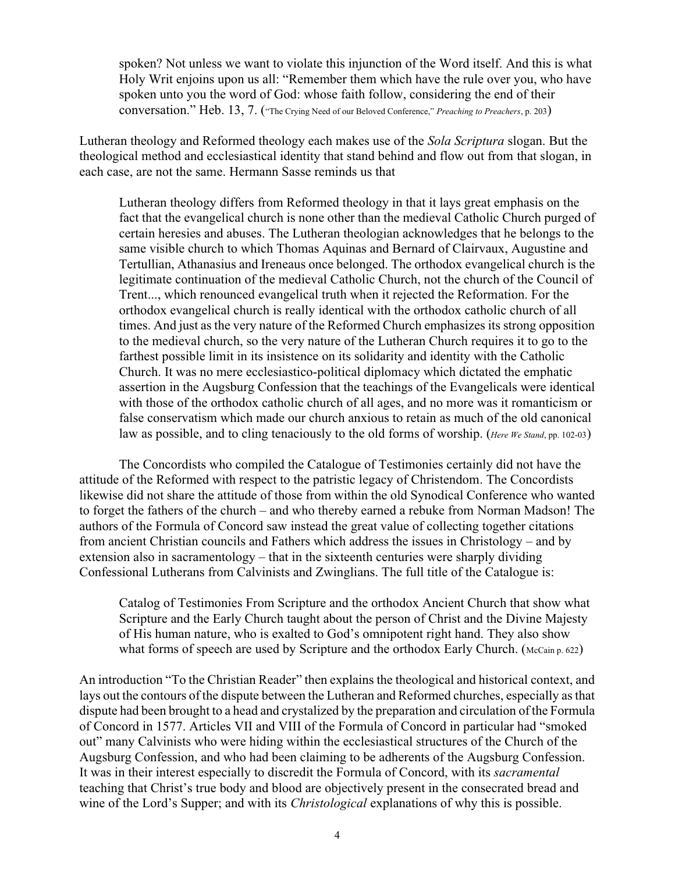spoken? Not unless we want to violate this injunction of the Word itself. And this is what Holy Writ enjoins upon us all: "Remember them which have the rule over you, who have spoken unto you the word of God: whose faith follow, considering the end of their conversation." Heb. 13, 7. ("The Crying Need of our Beloved Conference," *Preaching to Preachers*, p. 203)

Lutheran theology and Reformed theology each makes use of the *Sola Scriptura* slogan. But the theological method and ecclesiastical identity that stand behind and flow out from that slogan, in each case, are not the same. Hermann Sasse reminds us that

Lutheran theology differs from Reformed theology in that it lays great emphasis on the fact that the evangelical church is none other than the medieval Catholic Church purged of certain heresies and abuses. The Lutheran theologian acknowledges that he belongs to the same visible church to which Thomas Aquinas and Bernard of Clairvaux, Augustine and Tertullian, Athanasius and Ireneaus once belonged. The orthodox evangelical church is the legitimate continuation of the medieval Catholic Church, not the church of the Council of Trent..., which renounced evangelical truth when it rejected the Reformation. For the orthodox evangelical church is really identical with the orthodox catholic church of all times. And just as the very nature of the Reformed Church emphasizes its strong opposition to the medieval church, so the very nature of the Lutheran Church requires it to go to the farthest possible limit in its insistence on its solidarity and identity with the Catholic Church. It was no mere ecclesiastico-political diplomacy which dictated the emphatic assertion in the Augsburg Confession that the teachings of the Evangelicals were identical with those of the orthodox catholic church of all ages, and no more was it romanticism or false conservatism which made our church anxious to retain as much of the old canonical law as possible, and to cling tenaciously to the old forms of worship. (*Here We Stand*, pp. 102-03)

The Concordists who compiled the Catalogue of Testimonies certainly did not have the attitude of the Reformed with respect to the patristic legacy of Christendom. The Concordists likewise did not share the attitude of those from within the old Synodical Conference who wanted to forget the fathers of the church – and who thereby earned a rebuke from Norman Madson! The authors of the Formula of Concord saw instead the great value of collecting together citations from ancient Christian councils and Fathers which address the issues in Christology – and by extension also in sacramentology – that in the sixteenth centuries were sharply dividing Confessional Lutherans from Calvinists and Zwinglians. The full title of the Catalogue is:

Catalog of Testimonies From Scripture and the orthodox Ancient Church that show what Scripture and the Early Church taught about the person of Christ and the Divine Majesty of His human nature, who is exalted to God's omnipotent right hand. They also show what forms of speech are used by Scripture and the orthodox Early Church. (McCain p. 622)

An introduction "To the Christian Reader" then explains the theological and historical context, and lays out the contours of the dispute between the Lutheran and Reformed churches, especially as that dispute had been brought to a head and crystalized by the preparation and circulation of the Formula of Concord in 1577. Articles VII and VIII of the Formula of Concord in particular had "smoked out" many Calvinists who were hiding within the ecclesiastical structures of the Church of the Augsburg Confession, and who had been claiming to be adherents of the Augsburg Confession. It was in their interest especially to discredit the Formula of Concord, with its *sacramental* teaching that Christ's true body and blood are objectively present in the consecrated bread and wine of the Lord's Supper; and with its *Christological* explanations of why this is possible.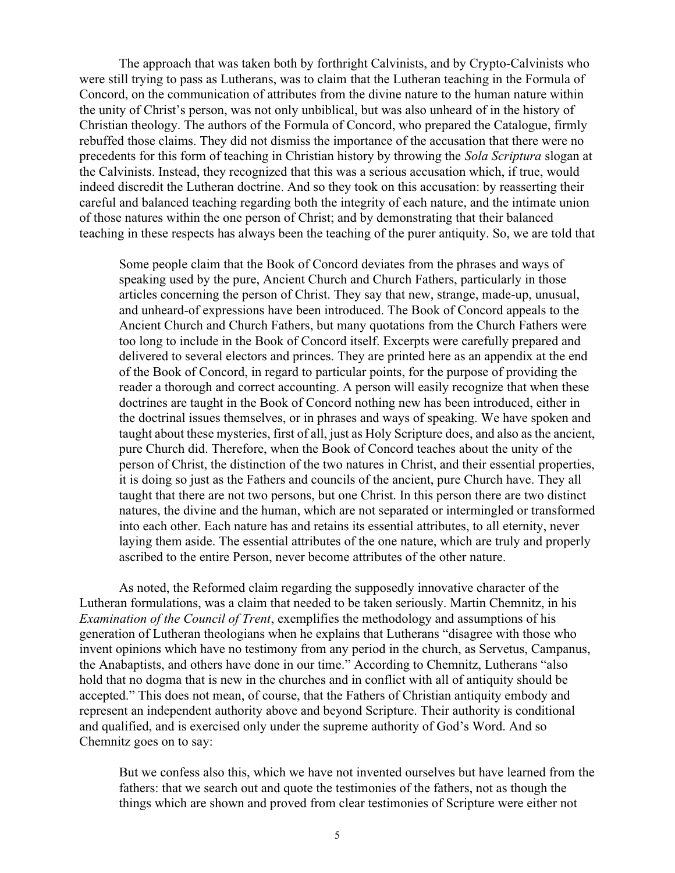The approach that was taken both by forthright Calvinists, and by Crypto-Calvinists who were still trying to pass as Lutherans, was to claim that the Lutheran teaching in the Formula of Concord, on the communication of attributes from the divine nature to the human nature within the unity of Christ's person, was not only unbiblical, but was also unheard of in the history of Christian theology. The authors of the Formula of Concord, who prepared the Catalogue, firmly rebuffed those claims. They did not dismiss the importance of the accusation that there were no precedents for this form of teaching in Christian history by throwing the *Sola Scriptura* slogan at the Calvinists. Instead, they recognized that this was a serious accusation which, if true, would indeed discredit the Lutheran doctrine. And so they took on this accusation: by reasserting their careful and balanced teaching regarding both the integrity of each nature, and the intimate union of those natures within the one person of Christ; and by demonstrating that their balanced teaching in these respects has always been the teaching of the purer antiquity. So, we are told that

Some people claim that the Book of Concord deviates from the phrases and ways of speaking used by the pure, Ancient Church and Church Fathers, particularly in those articles concerning the person of Christ. They say that new, strange, made-up, unusual, and unheard-of expressions have been introduced. The Book of Concord appeals to the Ancient Church and Church Fathers, but many quotations from the Church Fathers were too long to include in the Book of Concord itself. Excerpts were carefully prepared and delivered to several electors and princes. They are printed here as an appendix at the end of the Book of Concord, in regard to particular points, for the purpose of providing the reader a thorough and correct accounting. A person will easily recognize that when these doctrines are taught in the Book of Concord nothing new has been introduced, either in the doctrinal issues themselves, or in phrases and ways of speaking. We have spoken and taught about these mysteries, first of all, just as Holy Scripture does, and also as the ancient, pure Church did. Therefore, when the Book of Concord teaches about the unity of the person of Christ, the distinction of the two natures in Christ, and their essential properties, it is doing so just as the Fathers and councils of the ancient, pure Church have. They all taught that there are not two persons, but one Christ. In this person there are two distinct natures, the divine and the human, which are not separated or intermingled or transformed into each other. Each nature has and retains its essential attributes, to all eternity, never laying them aside. The essential attributes of the one nature, which are truly and properly ascribed to the entire Person, never become attributes of the other nature.

As noted, the Reformed claim regarding the supposedly innovative character of the Lutheran formulations, was a claim that needed to be taken seriously. Martin Chemnitz, in his *Examination of the Council of Trent*, exemplifies the methodology and assumptions of his generation of Lutheran theologians when he explains that Lutherans "disagree with those who invent opinions which have no testimony from any period in the church, as Servetus, Campanus, the Anabaptists, and others have done in our time." According to Chemnitz, Lutherans "also hold that no dogma that is new in the churches and in conflict with all of antiquity should be accepted." This does not mean, of course, that the Fathers of Christian antiquity embody and represent an independent authority above and beyond Scripture. Their authority is conditional and qualified, and is exercised only under the supreme authority of God's Word. And so Chemnitz goes on to say:

But we confess also this, which we have not invented ourselves but have learned from the fathers: that we search out and quote the testimonies of the fathers, not as though the things which are shown and proved from clear testimonies of Scripture were either not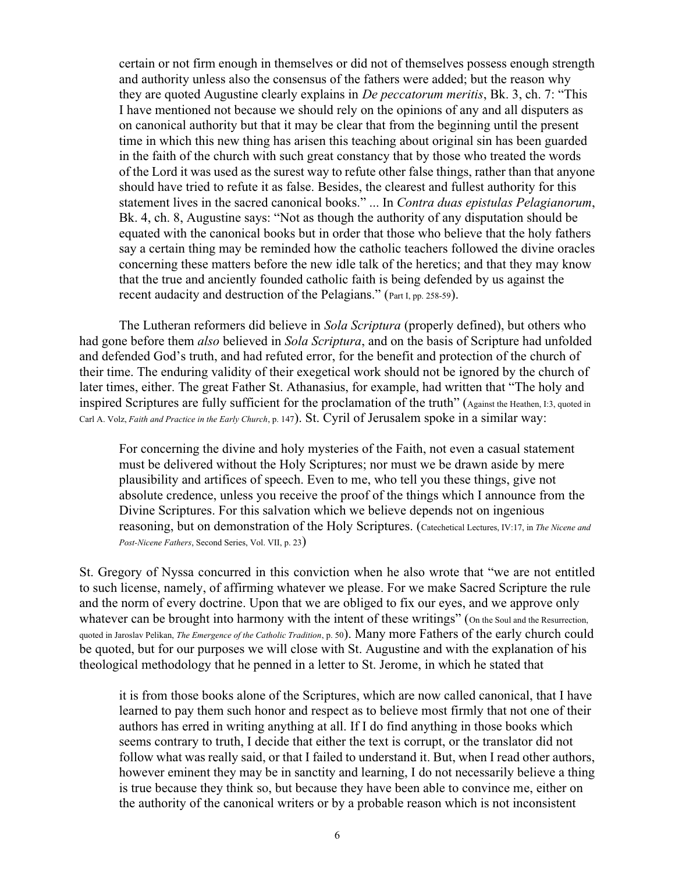certain or not firm enough in themselves or did not of themselves possess enough strength and authority unless also the consensus of the fathers were added; but the reason why they are quoted Augustine clearly explains in *De peccatorum meritis*, Bk. 3, ch. 7: "This I have mentioned not because we should rely on the opinions of any and all disputers as on canonical authority but that it may be clear that from the beginning until the present time in which this new thing has arisen this teaching about original sin has been guarded in the faith of the church with such great constancy that by those who treated the words of the Lord it was used as the surest way to refute other false things, rather than that anyone should have tried to refute it as false. Besides, the clearest and fullest authority for this statement lives in the sacred canonical books." ... In *Contra duas epistulas Pelagianorum*, Bk. 4, ch. 8, Augustine says: "Not as though the authority of any disputation should be equated with the canonical books but in order that those who believe that the holy fathers say a certain thing may be reminded how the catholic teachers followed the divine oracles concerning these matters before the new idle talk of the heretics; and that they may know that the true and anciently founded catholic faith is being defended by us against the recent audacity and destruction of the Pelagians." (Part I, pp. 258-59).

The Lutheran reformers did believe in *Sola Scriptura* (properly defined), but others who had gone before them *also* believed in *Sola Scriptura*, and on the basis of Scripture had unfolded and defended God's truth, and had refuted error, for the benefit and protection of the church of their time. The enduring validity of their exegetical work should not be ignored by the church of later times, either. The great Father St. Athanasius, for example, had written that "The holy and inspired Scriptures are fully sufficient for the proclamation of the truth" (Against the Heathen, I:3, quoted in Carl A. Volz, *Faith and Practice in the Early Church*, p. 147). St. Cyril of Jerusalem spoke in a similar way:

For concerning the divine and holy mysteries of the Faith, not even a casual statement must be delivered without the Holy Scriptures; nor must we be drawn aside by mere plausibility and artifices of speech. Even to me, who tell you these things, give not absolute credence, unless you receive the proof of the things which I announce from the Divine Scriptures. For this salvation which we believe depends not on ingenious reasoning, but on demonstration of the Holy Scriptures. (Catechetical Lectures, IV:17, in *The Nicene and Post-Nicene Fathers*, Second Series, Vol. VII, p. 23)

St. Gregory of Nyssa concurred in this conviction when he also wrote that "we are not entitled to such license, namely, of affirming whatever we please. For we make Sacred Scripture the rule and the norm of every doctrine. Upon that we are obliged to fix our eyes, and we approve only whatever can be brought into harmony with the intent of these writings" (on the Soul and the Resurrection, quoted in Jaroslav Pelikan, *The Emergence of the Catholic Tradition*, p. 50). Many more Fathers of the early church could be quoted, but for our purposes we will close with St. Augustine and with the explanation of his theological methodology that he penned in a letter to St. Jerome, in which he stated that

it is from those books alone of the Scriptures, which are now called canonical, that I have learned to pay them such honor and respect as to believe most firmly that not one of their authors has erred in writing anything at all. If I do find anything in those books which seems contrary to truth, I decide that either the text is corrupt, or the translator did not follow what was really said, or that I failed to understand it. But, when I read other authors, however eminent they may be in sanctity and learning, I do not necessarily believe a thing is true because they think so, but because they have been able to convince me, either on the authority of the canonical writers or by a probable reason which is not inconsistent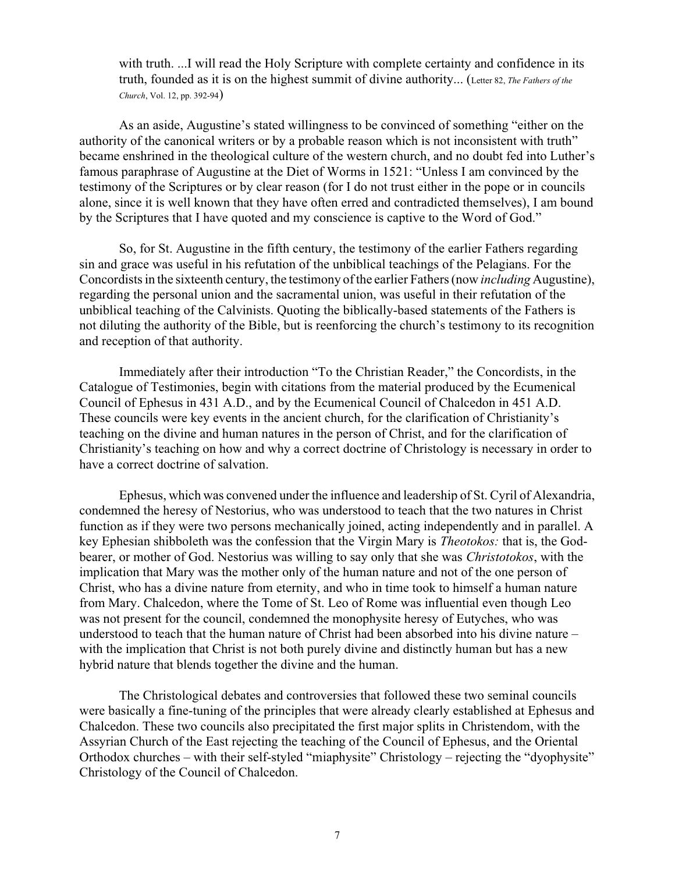with truth. ...I will read the Holy Scripture with complete certainty and confidence in its truth, founded as it is on the highest summit of divine authority... (Letter 82, *The Fathers of the Church*, Vol. 12, pp. 392-94)

As an aside, Augustine's stated willingness to be convinced of something "either on the authority of the canonical writers or by a probable reason which is not inconsistent with truth" became enshrined in the theological culture of the western church, and no doubt fed into Luther's famous paraphrase of Augustine at the Diet of Worms in 1521: "Unless I am convinced by the testimony of the Scriptures or by clear reason (for I do not trust either in the pope or in councils alone, since it is well known that they have often erred and contradicted themselves), I am bound by the Scriptures that I have quoted and my conscience is captive to the Word of God."

So, for St. Augustine in the fifth century, the testimony of the earlier Fathers regarding sin and grace was useful in his refutation of the unbiblical teachings of the Pelagians. For the Concordists in the sixteenth century, the testimony of the earlier Fathers (now *including* Augustine), regarding the personal union and the sacramental union, was useful in their refutation of the unbiblical teaching of the Calvinists. Quoting the biblically-based statements of the Fathers is not diluting the authority of the Bible, but is reenforcing the church's testimony to its recognition and reception of that authority.

Immediately after their introduction "To the Christian Reader," the Concordists, in the Catalogue of Testimonies, begin with citations from the material produced by the Ecumenical Council of Ephesus in 431 A.D., and by the Ecumenical Council of Chalcedon in 451 A.D. These councils were key events in the ancient church, for the clarification of Christianity's teaching on the divine and human natures in the person of Christ, and for the clarification of Christianity's teaching on how and why a correct doctrine of Christology is necessary in order to have a correct doctrine of salvation.

Ephesus, which was convened under the influence and leadership of St. Cyril of Alexandria, condemned the heresy of Nestorius, who was understood to teach that the two natures in Christ function as if they were two persons mechanically joined, acting independently and in parallel. A key Ephesian shibboleth was the confession that the Virgin Mary is *Theotokos:* that is, the Godbearer, or mother of God. Nestorius was willing to say only that she was *Christotokos*, with the implication that Mary was the mother only of the human nature and not of the one person of Christ, who has a divine nature from eternity, and who in time took to himself a human nature from Mary. Chalcedon, where the Tome of St. Leo of Rome was influential even though Leo was not present for the council, condemned the monophysite heresy of Eutyches, who was understood to teach that the human nature of Christ had been absorbed into his divine nature – with the implication that Christ is not both purely divine and distinctly human but has a new hybrid nature that blends together the divine and the human.

The Christological debates and controversies that followed these two seminal councils were basically a fine-tuning of the principles that were already clearly established at Ephesus and Chalcedon. These two councils also precipitated the first major splits in Christendom, with the Assyrian Church of the East rejecting the teaching of the Council of Ephesus, and the Oriental Orthodox churches – with their self-styled "miaphysite" Christology – rejecting the "dyophysite" Christology of the Council of Chalcedon.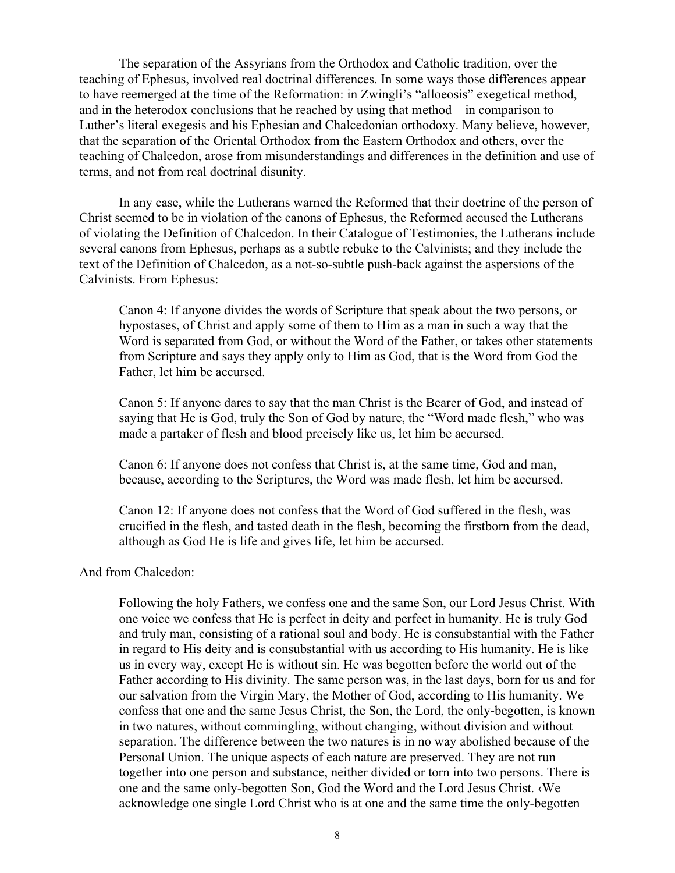The separation of the Assyrians from the Orthodox and Catholic tradition, over the teaching of Ephesus, involved real doctrinal differences. In some ways those differences appear to have reemerged at the time of the Reformation: in Zwingli's "alloeosis" exegetical method, and in the heterodox conclusions that he reached by using that method – in comparison to Luther's literal exegesis and his Ephesian and Chalcedonian orthodoxy. Many believe, however, that the separation of the Oriental Orthodox from the Eastern Orthodox and others, over the teaching of Chalcedon, arose from misunderstandings and differences in the definition and use of terms, and not from real doctrinal disunity.

In any case, while the Lutherans warned the Reformed that their doctrine of the person of Christ seemed to be in violation of the canons of Ephesus, the Reformed accused the Lutherans of violating the Definition of Chalcedon. In their Catalogue of Testimonies, the Lutherans include several canons from Ephesus, perhaps as a subtle rebuke to the Calvinists; and they include the text of the Definition of Chalcedon, as a not-so-subtle push-back against the aspersions of the Calvinists. From Ephesus:

Canon 4: If anyone divides the words of Scripture that speak about the two persons, or hypostases, of Christ and apply some of them to Him as a man in such a way that the Word is separated from God, or without the Word of the Father, or takes other statements from Scripture and says they apply only to Him as God, that is the Word from God the Father, let him be accursed.

Canon 5: If anyone dares to say that the man Christ is the Bearer of God, and instead of saying that He is God, truly the Son of God by nature, the "Word made flesh," who was made a partaker of flesh and blood precisely like us, let him be accursed.

Canon 6: If anyone does not confess that Christ is, at the same time, God and man, because, according to the Scriptures, the Word was made flesh, let him be accursed.

Canon 12: If anyone does not confess that the Word of God suffered in the flesh, was crucified in the flesh, and tasted death in the flesh, becoming the firstborn from the dead, although as God He is life and gives life, let him be accursed.

## And from Chalcedon:

Following the holy Fathers, we confess one and the same Son, our Lord Jesus Christ. With one voice we confess that He is perfect in deity and perfect in humanity. He is truly God and truly man, consisting of a rational soul and body. He is consubstantial with the Father in regard to His deity and is consubstantial with us according to His humanity. He is like us in every way, except He is without sin. He was begotten before the world out of the Father according to His divinity. The same person was, in the last days, born for us and for our salvation from the Virgin Mary, the Mother of God, according to His humanity. We confess that one and the same Jesus Christ, the Son, the Lord, the only-begotten, is known in two natures, without commingling, without changing, without division and without separation. The difference between the two natures is in no way abolished because of the Personal Union. The unique aspects of each nature are preserved. They are not run together into one person and substance, neither divided or torn into two persons. There is one and the same only-begotten Son, God the Word and the Lord Jesus Christ. ‹We acknowledge one single Lord Christ who is at one and the same time the only-begotten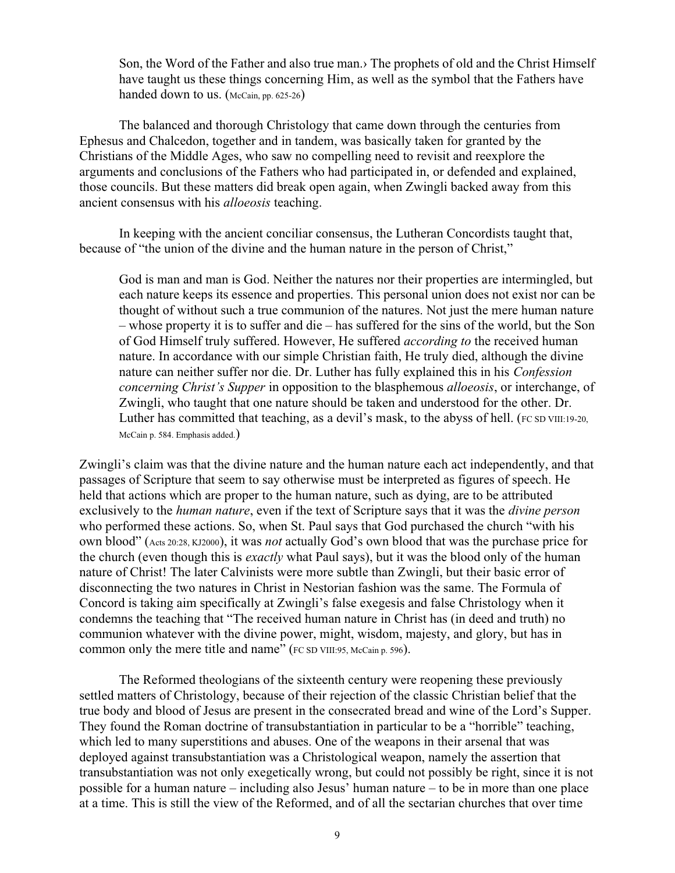Son, the Word of the Father and also true man.› The prophets of old and the Christ Himself have taught us these things concerning Him, as well as the symbol that the Fathers have handed down to us. (McCain, pp. 625-26)

The balanced and thorough Christology that came down through the centuries from Ephesus and Chalcedon, together and in tandem, was basically taken for granted by the Christians of the Middle Ages, who saw no compelling need to revisit and reexplore the arguments and conclusions of the Fathers who had participated in, or defended and explained, those councils. But these matters did break open again, when Zwingli backed away from this ancient consensus with his *alloeosis* teaching.

In keeping with the ancient conciliar consensus, the Lutheran Concordists taught that, because of "the union of the divine and the human nature in the person of Christ,"

God is man and man is God. Neither the natures nor their properties are intermingled, but each nature keeps its essence and properties. This personal union does not exist nor can be thought of without such a true communion of the natures. Not just the mere human nature – whose property it is to suffer and die – has suffered for the sins of the world, but the Son of God Himself truly suffered. However, He suffered *according to* the received human nature. In accordance with our simple Christian faith, He truly died, although the divine nature can neither suffer nor die. Dr. Luther has fully explained this in his *Confession concerning Christ's Supper* in opposition to the blasphemous *alloeosis*, or interchange, of Zwingli, who taught that one nature should be taken and understood for the other. Dr. Luther has committed that teaching, as a devil's mask, to the abyss of hell. (FC SD VIII:19-20, McCain p. 584. Emphasis added.)

Zwingli's claim was that the divine nature and the human nature each act independently, and that passages of Scripture that seem to say otherwise must be interpreted as figures of speech. He held that actions which are proper to the human nature, such as dying, are to be attributed exclusively to the *human nature*, even if the text of Scripture says that it was the *divine person* who performed these actions. So, when St. Paul says that God purchased the church "with his own blood" (Acts 20:28, KJ2000), it was *not* actually God's own blood that was the purchase price for the church (even though this is *exactly* what Paul says), but it was the blood only of the human nature of Christ! The later Calvinists were more subtle than Zwingli, but their basic error of disconnecting the two natures in Christ in Nestorian fashion was the same. The Formula of Concord is taking aim specifically at Zwingli's false exegesis and false Christology when it condemns the teaching that "The received human nature in Christ has (in deed and truth) no communion whatever with the divine power, might, wisdom, majesty, and glory, but has in common only the mere title and name" (FC SD VIII:95, McCain p. 596).

The Reformed theologians of the sixteenth century were reopening these previously settled matters of Christology, because of their rejection of the classic Christian belief that the true body and blood of Jesus are present in the consecrated bread and wine of the Lord's Supper. They found the Roman doctrine of transubstantiation in particular to be a "horrible" teaching, which led to many superstitions and abuses. One of the weapons in their arsenal that was deployed against transubstantiation was a Christological weapon, namely the assertion that transubstantiation was not only exegetically wrong, but could not possibly be right, since it is not possible for a human nature – including also Jesus' human nature – to be in more than one place at a time. This is still the view of the Reformed, and of all the sectarian churches that over time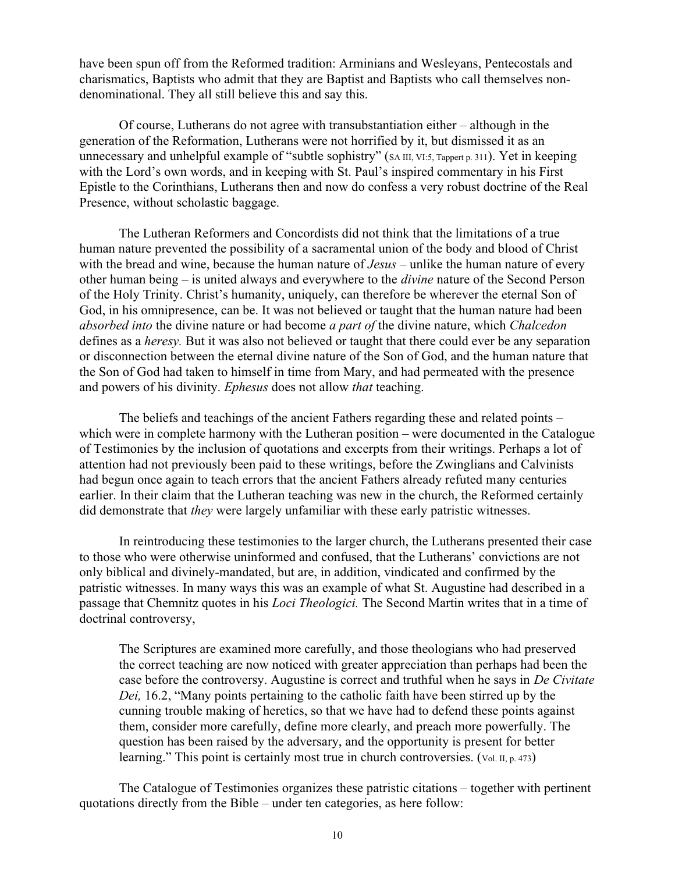have been spun off from the Reformed tradition: Arminians and Wesleyans, Pentecostals and charismatics, Baptists who admit that they are Baptist and Baptists who call themselves nondenominational. They all still believe this and say this.

Of course, Lutherans do not agree with transubstantiation either – although in the generation of the Reformation, Lutherans were not horrified by it, but dismissed it as an unnecessary and unhelpful example of "subtle sophistry" (SA III, VI:5, Tappert p. 311). Yet in keeping with the Lord's own words, and in keeping with St. Paul's inspired commentary in his First Epistle to the Corinthians, Lutherans then and now do confess a very robust doctrine of the Real Presence, without scholastic baggage.

The Lutheran Reformers and Concordists did not think that the limitations of a true human nature prevented the possibility of a sacramental union of the body and blood of Christ with the bread and wine, because the human nature of *Jesus* – unlike the human nature of every other human being – is united always and everywhere to the *divine* nature of the Second Person of the Holy Trinity. Christ's humanity, uniquely, can therefore be wherever the eternal Son of God, in his omnipresence, can be. It was not believed or taught that the human nature had been *absorbed into* the divine nature or had become *a part of* the divine nature, which *Chalcedon* defines as a *heresy.* But it was also not believed or taught that there could ever be any separation or disconnection between the eternal divine nature of the Son of God, and the human nature that the Son of God had taken to himself in time from Mary, and had permeated with the presence and powers of his divinity. *Ephesus* does not allow *that* teaching.

The beliefs and teachings of the ancient Fathers regarding these and related points – which were in complete harmony with the Lutheran position – were documented in the Catalogue of Testimonies by the inclusion of quotations and excerpts from their writings. Perhaps a lot of attention had not previously been paid to these writings, before the Zwinglians and Calvinists had begun once again to teach errors that the ancient Fathers already refuted many centuries earlier. In their claim that the Lutheran teaching was new in the church, the Reformed certainly did demonstrate that *they* were largely unfamiliar with these early patristic witnesses.

In reintroducing these testimonies to the larger church, the Lutherans presented their case to those who were otherwise uninformed and confused, that the Lutherans' convictions are not only biblical and divinely-mandated, but are, in addition, vindicated and confirmed by the patristic witnesses. In many ways this was an example of what St. Augustine had described in a passage that Chemnitz quotes in his *Loci Theologici.* The Second Martin writes that in a time of doctrinal controversy,

The Scriptures are examined more carefully, and those theologians who had preserved the correct teaching are now noticed with greater appreciation than perhaps had been the case before the controversy. Augustine is correct and truthful when he says in *De Civitate Dei,* 16.2, "Many points pertaining to the catholic faith have been stirred up by the cunning trouble making of heretics, so that we have had to defend these points against them, consider more carefully, define more clearly, and preach more powerfully. The question has been raised by the adversary, and the opportunity is present for better learning." This point is certainly most true in church controversies. (Vol. II, p. 473)

The Catalogue of Testimonies organizes these patristic citations – together with pertinent quotations directly from the Bible – under ten categories, as here follow: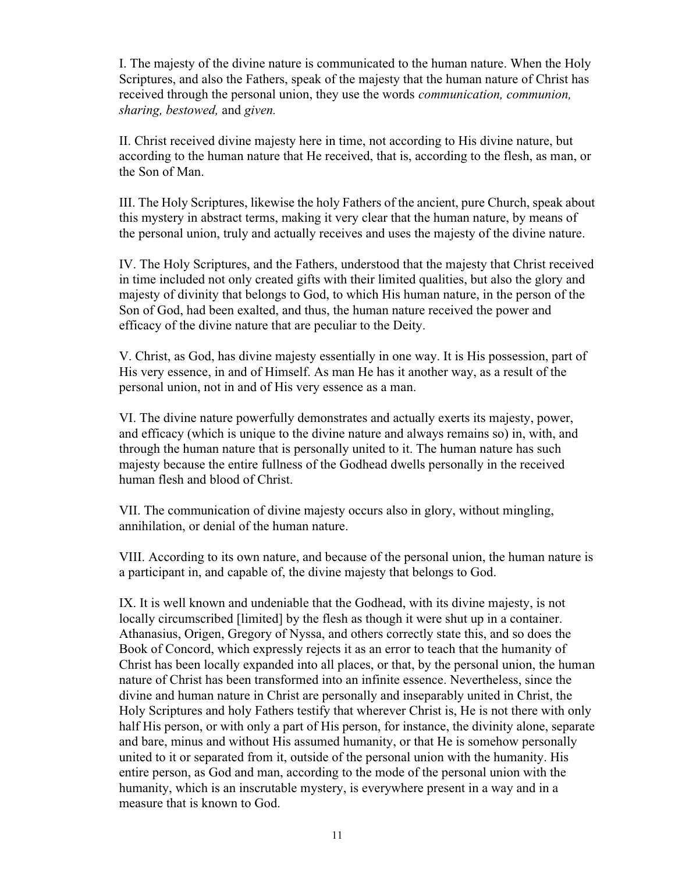I. The majesty of the divine nature is communicated to the human nature. When the Holy Scriptures, and also the Fathers, speak of the majesty that the human nature of Christ has received through the personal union, they use the words *communication, communion, sharing, bestowed,* and *given.*

II. Christ received divine majesty here in time, not according to His divine nature, but according to the human nature that He received, that is, according to the flesh, as man, or the Son of Man.

III. The Holy Scriptures, likewise the holy Fathers of the ancient, pure Church, speak about this mystery in abstract terms, making it very clear that the human nature, by means of the personal union, truly and actually receives and uses the majesty of the divine nature.

IV. The Holy Scriptures, and the Fathers, understood that the majesty that Christ received in time included not only created gifts with their limited qualities, but also the glory and majesty of divinity that belongs to God, to which His human nature, in the person of the Son of God, had been exalted, and thus, the human nature received the power and efficacy of the divine nature that are peculiar to the Deity.

V. Christ, as God, has divine majesty essentially in one way. It is His possession, part of His very essence, in and of Himself. As man He has it another way, as a result of the personal union, not in and of His very essence as a man.

VI. The divine nature powerfully demonstrates and actually exerts its majesty, power, and efficacy (which is unique to the divine nature and always remains so) in, with, and through the human nature that is personally united to it. The human nature has such majesty because the entire fullness of the Godhead dwells personally in the received human flesh and blood of Christ.

VII. The communication of divine majesty occurs also in glory, without mingling, annihilation, or denial of the human nature.

VIII. According to its own nature, and because of the personal union, the human nature is a participant in, and capable of, the divine majesty that belongs to God.

IX. It is well known and undeniable that the Godhead, with its divine majesty, is not locally circumscribed [limited] by the flesh as though it were shut up in a container. Athanasius, Origen, Gregory of Nyssa, and others correctly state this, and so does the Book of Concord, which expressly rejects it as an error to teach that the humanity of Christ has been locally expanded into all places, or that, by the personal union, the human nature of Christ has been transformed into an infinite essence. Nevertheless, since the divine and human nature in Christ are personally and inseparably united in Christ, the Holy Scriptures and holy Fathers testify that wherever Christ is, He is not there with only half His person, or with only a part of His person, for instance, the divinity alone, separate and bare, minus and without His assumed humanity, or that He is somehow personally united to it or separated from it, outside of the personal union with the humanity. His entire person, as God and man, according to the mode of the personal union with the humanity, which is an inscrutable mystery, is everywhere present in a way and in a measure that is known to God.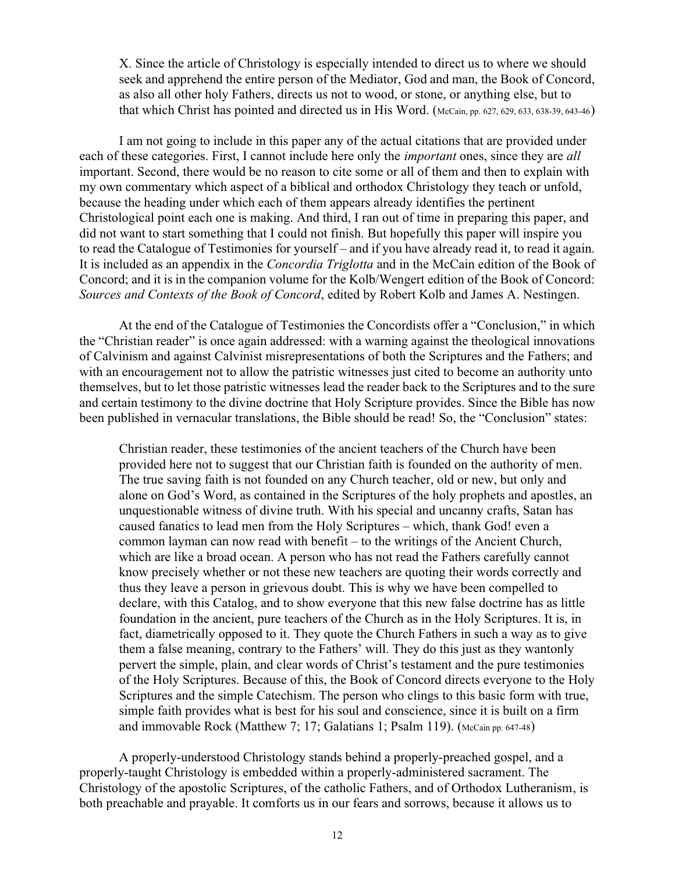X. Since the article of Christology is especially intended to direct us to where we should seek and apprehend the entire person of the Mediator, God and man, the Book of Concord, as also all other holy Fathers, directs us not to wood, or stone, or anything else, but to that which Christ has pointed and directed us in His Word. (McCain, pp. 627, 629, 633, 638-39, 643-46)

I am not going to include in this paper any of the actual citations that are provided under each of these categories. First, I cannot include here only the *important* ones, since they are *all* important. Second, there would be no reason to cite some or all of them and then to explain with my own commentary which aspect of a biblical and orthodox Christology they teach or unfold, because the heading under which each of them appears already identifies the pertinent Christological point each one is making. And third, I ran out of time in preparing this paper, and did not want to start something that I could not finish. But hopefully this paper will inspire you to read the Catalogue of Testimonies for yourself – and if you have already read it, to read it again. It is included as an appendix in the *Concordia Triglotta* and in the McCain edition of the Book of Concord; and it is in the companion volume for the Kolb/Wengert edition of the Book of Concord: *Sources and Contexts of the Book of Concord*, edited by Robert Kolb and James A. Nestingen.

At the end of the Catalogue of Testimonies the Concordists offer a "Conclusion," in which the "Christian reader" is once again addressed: with a warning against the theological innovations of Calvinism and against Calvinist misrepresentations of both the Scriptures and the Fathers; and with an encouragement not to allow the patristic witnesses just cited to become an authority unto themselves, but to let those patristic witnesses lead the reader back to the Scriptures and to the sure and certain testimony to the divine doctrine that Holy Scripture provides. Since the Bible has now been published in vernacular translations, the Bible should be read! So, the "Conclusion" states:

Christian reader, these testimonies of the ancient teachers of the Church have been provided here not to suggest that our Christian faith is founded on the authority of men. The true saving faith is not founded on any Church teacher, old or new, but only and alone on God's Word, as contained in the Scriptures of the holy prophets and apostles, an unquestionable witness of divine truth. With his special and uncanny crafts, Satan has caused fanatics to lead men from the Holy Scriptures – which, thank God! even a common layman can now read with benefit – to the writings of the Ancient Church, which are like a broad ocean. A person who has not read the Fathers carefully cannot know precisely whether or not these new teachers are quoting their words correctly and thus they leave a person in grievous doubt. This is why we have been compelled to declare, with this Catalog, and to show everyone that this new false doctrine has as little foundation in the ancient, pure teachers of the Church as in the Holy Scriptures. It is, in fact, diametrically opposed to it. They quote the Church Fathers in such a way as to give them a false meaning, contrary to the Fathers' will. They do this just as they wantonly pervert the simple, plain, and clear words of Christ's testament and the pure testimonies of the Holy Scriptures. Because of this, the Book of Concord directs everyone to the Holy Scriptures and the simple Catechism. The person who clings to this basic form with true, simple faith provides what is best for his soul and conscience, since it is built on a firm and immovable Rock (Matthew 7; 17; Galatians 1; Psalm 119). (McCain pp. 647-48)

A properly-understood Christology stands behind a properly-preached gospel, and a properly-taught Christology is embedded within a properly-administered sacrament. The Christology of the apostolic Scriptures, of the catholic Fathers, and of Orthodox Lutheranism, is both preachable and prayable. It comforts us in our fears and sorrows, because it allows us to